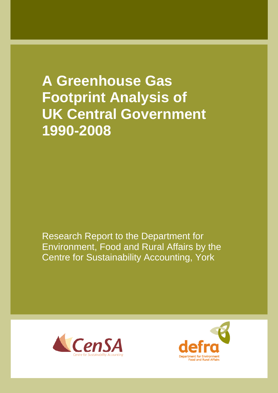**A Greenhouse Gas Footprint Analysis of UK Central Government 1990-2008**

Research Report to the Department for Environment, Food and Rural Affairs by the Centre for Sustainability Accounting, York



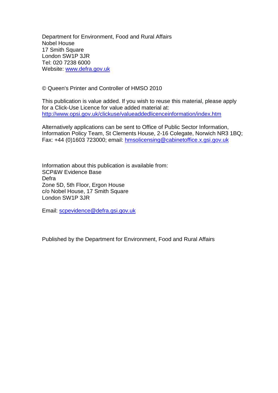Department for Environment, Food and Rural Affairs Nobel House 17 Smith Square London SW1P 3JR Tel: 020 7238 6000 Website: www.defra.gov.uk

© Queen's Printer and Controller of HMSO 2010

This publication is value added. If you wish to reuse this material, please apply for a Click-Use Licence for value added material at: http://www.opsi.gov.uk/clickuse/valueaddedlicenceinformation/index.htm

Alternatively applications can be sent to Office of Public Sector Information, Information Policy Team, St Clements House, 2-16 Colegate, Norwich NR3 1BQ; Fax: +44 (0)1603 723000; email: hmsolicensing@cabinetoffice.x.gsi.gov.uk

Information about this publication is available from: SCP&W Evidence Base Defra Zone 5D, 5th Floor, Ergon House c/o Nobel House, 17 Smith Square London SW1P 3JR

Email: scpevidence@defra.gsi.gov.uk

Published by the Department for Environment, Food and Rural Affairs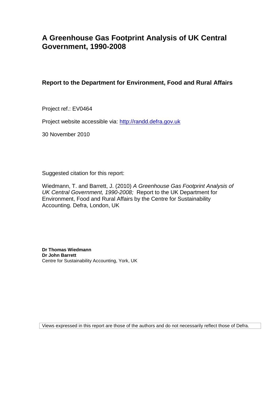## **A Greenhouse Gas Footprint Analysis of UK Central Government, 1990-2008**

### **Report to the Department for Environment, Food and Rural Affairs**

Project ref.: EV0464

Project website accessible via: http://randd.defra.gov.uk

30 November 2010

Suggested citation for this report:

Wiedmann, T. and Barrett, J. (2010) *A Greenhouse Gas Footprint Analysis of UK Central Government, 1990-2008;* Report to the UK Department for Environment, Food and Rural Affairs by the Centre for Sustainability Accounting. Defra, London, UK

**Dr Thomas Wiedmann Dr John Barrett** Centre for Sustainability Accounting, York, UK

Views expressed in this report are those of the authors and do not necessarily reflect those of Defra.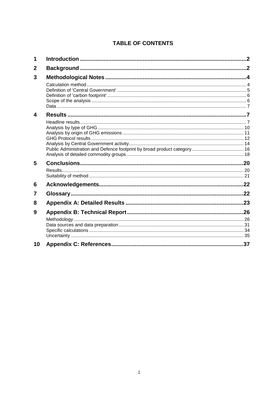## **TABLE OF CONTENTS**

| 1  |  |
|----|--|
| 2  |  |
| 3  |  |
|    |  |
|    |  |
|    |  |
|    |  |
|    |  |
| 4  |  |
|    |  |
|    |  |
|    |  |
|    |  |
|    |  |
|    |  |
| 5  |  |
|    |  |
|    |  |
| 6  |  |
| 7  |  |
| 8  |  |
| 9  |  |
|    |  |
|    |  |
|    |  |
|    |  |
| 10 |  |
|    |  |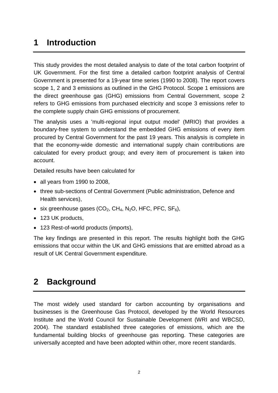## **1 Introduction**

This study provides the most detailed analysis to date of the total carbon footprint of UK Government. For the first time a detailed carbon footprint analysis of Central Government is presented for a 19-year time series (1990 to 2008). The report covers scope 1, 2 and 3 emissions as outlined in the GHG Protocol. Scope 1 emissions are the direct greenhouse gas (GHG) emissions from Central Government, scope 2 refers to GHG emissions from purchased electricity and scope 3 emissions refer to the complete supply chain GHG emissions of procurement.

The analysis uses a 'multi-regional input output model' (MRIO) that provides a boundary-free system to understand the embedded GHG emissions of every item procured by Central Government for the past 19 years. This analysis is complete in that the economy-wide domestic and international supply chain contributions are calculated for every product group; and every item of procurement is taken into account.

Detailed results have been calculated for

- all years from 1990 to 2008,
- three sub-sections of Central Government (Public administration, Defence and Health services),
- six greenhouse gases  $(CO_2, CH_4, N_2O, HFC, PFC, SF_6),$
- 123 UK products,
- 123 Rest-of-world products (imports),

The key findings are presented in this report. The results highlight both the GHG emissions that occur within the UK and GHG emissions that are emitted abroad as a result of UK Central Government expenditure.

## **2 Background**

The most widely used standard for carbon accounting by organisations and businesses is the Greenhouse Gas Protocol, developed by the World Resources Institute and the World Council for Sustainable Development (WRI and WBCSD, 2004). The standard established three categories of emissions, which are the fundamental building blocks of greenhouse gas reporting. These categories are universally accepted and have been adopted within other, more recent standards.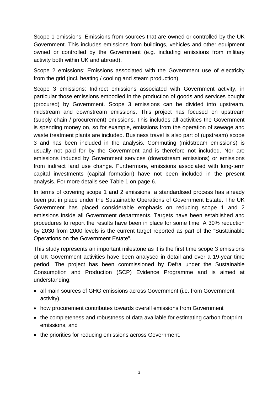Scope 1 emissions: Emissions from sources that are owned or controlled by the UK Government. This includes emissions from buildings, vehicles and other equipment owned or controlled by the Government (e.g. including emissions from military activity both within UK and abroad).

Scope 2 emissions: Emissions associated with the Government use of electricity from the grid (incl. heating / cooling and steam production).

Scope 3 emissions: Indirect emissions associated with Government activity, in particular those emissions embodied in the production of goods and services bought (procured) by Government. Scope 3 emissions can be divided into upstream, midstream and downstream emissions. This project has focused on upstream (supply chain / procurement) emissions. This includes all activities the Government is spending money on, so for example, emissions from the operation of sewage and waste treatment plants are included. Business travel is also part of (upstream) scope 3 and has been included in the analysis. Commuting (midstream emissions) is usually not paid for by the Government and is therefore not included. Nor are emissions induced by Government services (downstream emissions) or emissions from indirect land use change. Furthermore, emissions associated with long-term capital investments (capital formation) have not been included in the present analysis. For more details see Table 1 on page 6.

In terms of covering scope 1 and 2 emissions, a standardised process has already been put in place under the Sustainable Operations of Government Estate. The UK Government has placed considerable emphasis on reducing scope 1 and 2 emissions inside all Government departments. Targets have been established and procedures to report the results have been in place for some time. A 30% reduction by 2030 from 2000 levels is the current target reported as part of the "Sustainable Operations on the Government Estate".

This study represents an important milestone as it is the first time scope 3 emissions of UK Government activities have been analysed in detail and over a 19-year time period. The project has been commissioned by Defra under the Sustainable Consumption and Production (SCP) Evidence Programme and is aimed at understanding:

- all main sources of GHG emissions across Government (i.e. from Government activity),
- how procurement contributes towards overall emissions from Government
- the completeness and robustness of data available for estimating carbon footprint emissions, and
- the priorities for reducing emissions across Government.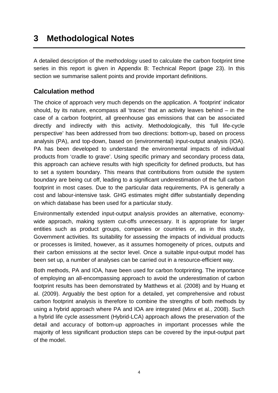## **3 Methodological Notes**

A detailed description of the methodology used to calculate the carbon footprint time series in this report is given in Appendix B: Technical Report (page 23). In this section we summarise salient points and provide important definitions.

## **Calculation method**

The choice of approach very much depends on the application. A 'footprint' indicator should, by its nature, encompass all 'traces' that an activity leaves behind – in the case of a carbon footprint, all greenhouse gas emissions that can be associated directly and indirectly with this activity. Methodologically, this 'full life-cycle perspective' has been addressed from two directions: bottom-up, based on process analysis (PA), and top-down, based on (environmental) input-output analysis (IOA). PA has been developed to understand the environmental impacts of individual products from 'cradle to grave'. Using specific primary and secondary process data, this approach can achieve results with high specificity for defined products, but has to set a system boundary. This means that contributions from outside the system boundary are being cut off, leading to a significant underestimation of the full carbon footprint in most cases. Due to the particular data requirements, PA is generally a cost and labour-intensive task. GHG estimates might differ substantially depending on which database has been used for a particular study.

Environmentally extended input-output analysis provides an alternative, economywide approach, making system cut-offs unnecessary. It is appropriate for larger entities such as product groups, companies or countries or, as in this study, Government activities. Its suitability for assessing the impacts of individual products or processes is limited, however, as it assumes homogeneity of prices, outputs and their carbon emissions at the sector level. Once a suitable input-output model has been set up, a number of analyses can be carried out in a resource-efficient way.

Both methods, PA and IOA, have been used for carbon footprinting. The importance of employing an all-encompassing approach to avoid the underestimation of carbon footprint results has been demonstrated by Matthews et al. (2008) and by Huang et al. (2009). Arguably the best option for a detailed, yet comprehensive and robust carbon footprint analysis is therefore to combine the strengths of both methods by using a hybrid approach where PA and IOA are integrated (Minx et al., 2008). Such a hybrid life cycle assessment (Hybrid-LCA) approach allows the preservation of the detail and accuracy of bottom-up approaches in important processes while the majority of less significant production steps can be covered by the input-output part of the model.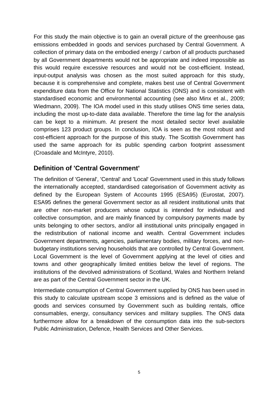For this study the main objective is to gain an overall picture of the greenhouse gas emissions embedded in goods and services purchased by Central Government. A collection of primary data on the embodied energy / carbon of all products purchased by all Government departments would not be appropriate and indeed impossible as this would require excessive resources and would not be cost-efficient. Instead, input-output analysis was chosen as the most suited approach for this study, because it is comprehensive and complete, makes best use of Central Government expenditure data from the Office for National Statistics (ONS) and is consistent with standardised economic and environmental accounting (see also Minx et al., 2009; Wiedmann, 2009). The IOA model used in this study utilises ONS time series data, including the most up-to-date data available. Therefore the time lag for the analysis can be kept to a minimum. At present the most detailed sector level available comprises 123 product groups. In conclusion, IOA is seen as the most robust and cost-efficient approach for the purpose of this study. The Scottish Government has used the same approach for its public spending carbon footprint assessment (Croasdale and McIntyre, 2010).

### **Definition of 'Central Government'**

The definition of 'General', 'Central' and 'Local' Government used in this study follows the internationally accepted, standardised categorisation of Government activity as defined by the European System of Accounts 1995 (ESA95) (Eurostat, 2007). ESA95 defines the general Government sector as all resident institutional units that are other non-market producers whose output is intended for individual and collective consumption, and are mainly financed by compulsory payments made by units belonging to other sectors, and/or all institutional units principally engaged in the redistribution of national income and wealth. Central Government includes Government departments, agencies, parliamentary bodies, military forces, and nonbudgetary institutions serving households that are controlled by Central Government. Local Government is the level of Government applying at the level of cities and towns and other geographically limited entities below the level of regions. The institutions of the devolved administrations of Scotland, Wales and Northern Ireland are as part of the Central Government sector in the UK.

Intermediate consumption of Central Government supplied by ONS has been used in this study to calculate upstream scope 3 emissions and is defined as the value of goods and services consumed by Government such as building rentals, office consumables, energy, consultancy services and military supplies. The ONS data furthermore allow for a breakdown of the consumption data into the sub-sectors Public Administration, Defence, Health Services and Other Services.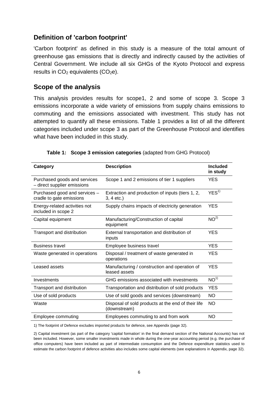### **Definition of 'carbon footprint'**

'Carbon footprint' as defined in this study is a measure of the total amount of greenhouse gas emissions that is directly and indirectly caused by the activities of Central Government. We include all six GHGs of the Kyoto Protocol and express results in  $CO<sub>2</sub>$  equivalents ( $CO<sub>2</sub>e$ ).

### **Scope of the analysis**

This analysis provides results for scope1, 2 and some of scope 3. Scope 3 emissions incorporate a wide variety of emissions from supply chains emissions to commuting and the emissions associated with investment. This study has not attempted to quantify all these emissions. Table 1 provides a list of all the different categories included under scope 3 as part of the Greenhouse Protocol and identifies what have been included in this study.

| Category                                                    | <b>Description</b>                                                 | <b>Included</b><br>in study |
|-------------------------------------------------------------|--------------------------------------------------------------------|-----------------------------|
| Purchased goods and services<br>- direct supplier emissions | Scope 1 and 2 emissions of tier 1 suppliers                        | YES.                        |
| Purchased good and services -<br>cradle to gate emissions   | Extraction and production of inputs (tiers 1, 2,<br>$3, 4$ etc.)   | YES <sup>1</sup>            |
| Energy-related activities not<br>included in scope 2        | Supply chains impacts of electricity generation                    | YES                         |
| Capital equipment                                           | Manufacturing/Construction of capital<br>equipment                 | NO <sup>2</sup>             |
| Transport and distribution                                  | External transportation and distribution of<br>inputs              | <b>YES</b>                  |
| <b>Business travel</b>                                      | Employee business travel                                           | <b>YES</b>                  |
| Waste generated in operations                               | Disposal / treatment of waste generated in<br>operations           | <b>YES</b>                  |
| Leased assets                                               | Manufacturing / construction and operation of<br>leased assets     | YES                         |
| Investments                                                 | GHG emissions associated with investments                          | NO <sup>1</sup>             |
| Transport and distribution                                  | Transportation and distribution of sold products                   | <b>YES</b>                  |
| Use of sold products                                        | Use of sold goods and services (downstream)                        | <b>NO</b>                   |
| Waste                                                       | Disposal of sold products at the end of their life<br>(downstream) | NO.                         |
| Employee commuting                                          | Employees commuting to and from work                               | <b>NO</b>                   |

| Table 1: Scope 3 emission categories (adapted from GHG Protocol) |  |  |
|------------------------------------------------------------------|--|--|
|                                                                  |  |  |

1) The footprint of Defence excludes imported products for defence, see Appendix (page 32).

<sup>2)</sup> Capital investment (as part of the category 'capital formation' in the final demand section of the National Accounts) has not been included. However, some smaller investments made in whole during the one-year accounting period (e.g. the purchase of office computers) have been included as part of intermediate consumption and the Defence expenditure statistics used to estimate the carbon footprint of defence activities also includes some capital elements (see explanations in Appendix, page 32).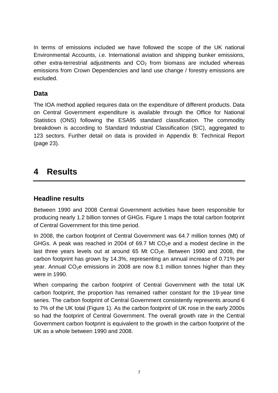In terms of emissions included we have followed the scope of the UK national Environmental Accounts, i.e. International aviation and shipping bunker emissions, other extra-terrestrial adjustments and  $CO<sub>2</sub>$  from biomass are included whereas emissions from Crown Dependencies and land use change / forestry emissions are excluded.

## **Data**

The IOA method applied requires data on the expenditure of different products. Data on Central Government expenditure is available through the Office for National Statistics (ONS) following the ESA95 standard classification. The commodity breakdown is according to Standard Industrial Classification (SIC), aggregated to 123 sectors. Further detail on data is provided in Appendix B: Technical Report (page 23).

## **4 Results**

## **Headline results**

Between 1990 and 2008 Central Government activities have been responsible for producing nearly 1.2 billion tonnes of GHGs. Figure 1 maps the total carbon footprint of Central Government for this time period.

In 2008, the carbon footprint of Central Government was 64.7 million tonnes (Mt) of GHGs. A peak was reached in 2004 of 69.7 Mt  $CO<sub>2</sub>e$  and a modest decline in the last three years levels out at around 65 Mt  $CO<sub>2</sub>e$ . Between 1990 and 2008, the carbon footprint has grown by 14.3%, representing an annual increase of 0.71% per year. Annual  $CO<sub>2</sub>e$  emissions in 2008 are now 8.1 million tonnes higher than they were in 1990.

When comparing the carbon footprint of Central Government with the total UK carbon footprint, the proportion has remained rather constant for the 19-year time series. The carbon footprint of Central Government consistently represents around 6 to 7% of the UK total (Figure 1). As the carbon footprint of UK rose in the early 2000s so had the footprint of Central Government. The overall growth rate in the Central Government carbon footprint is equivalent to the growth in the carbon footprint of the UK as a whole between 1990 and 2008.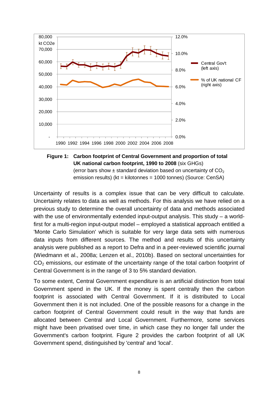

#### **Figure 1: Carbon footprint of Central Government and proportion of total UK national carbon footprint, 1990 to 2008** (six GHGs) (error bars show  $\pm$  standard deviation based on uncertainty of CO<sub>2</sub> emission results) (kt = kilotonnes = 1000 tonnes) (Source: CenSA)

Uncertainty of results is a complex issue that can be very difficult to calculate. Uncertainty relates to data as well as methods. For this analysis we have relied on a previous study to determine the overall uncertainty of data and methods associated with the use of environmentally extended input-output analysis. This study – a worldfirst for a multi-region input-output model – employed a statistical approach entitled a 'Monte Carlo Simulation' which is suitable for very large data sets with numerous data inputs from different sources. The method and results of this uncertainty analysis were published as a report to Defra and in a peer-reviewed scientific journal (Wiedmann et al., 2008a; Lenzen et al., 2010b). Based on sectoral uncertainties for CO<sub>2</sub> emissions, our estimate of the uncertainty range of the total carbon footprint of Central Government is in the range of 3 to 5% standard deviation.

To some extent, Central Government expenditure is an artificial distinction from total Government spend in the UK. If the money is spent centrally then the carbon footprint is associated with Central Government. If it is distributed to Local Government then it is not included. One of the possible reasons for a change in the carbon footprint of Central Government could result in the way that funds are allocated between Central and Local Government. Furthermore, some services might have been privatised over time, in which case they no longer fall under the Government's carbon footprint. Figure 2 provides the carbon footprint of all UK Government spend, distinguished by 'central' and 'local'.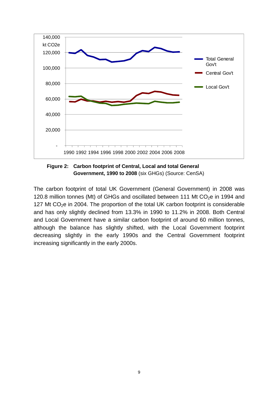

**Figure 2: Carbon footprint of Central, Local and total General Government, 1990 to 2008** (six GHGs) (Source: CenSA)

The carbon footprint of total UK Government (General Government) in 2008 was 120.8 million tonnes (Mt) of GHGs and oscillated between 111 Mt CO<sub>2</sub>e in 1994 and 127 Mt  $CO<sub>2</sub>e$  in 2004. The proportion of the total UK carbon footprint is considerable and has only slightly declined from 13.3% in 1990 to 11.2% in 2008. Both Central and Local Government have a similar carbon footprint of around 60 million tonnes, although the balance has slightly shifted, with the Local Government footprint decreasing slightly in the early 1990s and the Central Government footprint increasing significantly in the early 2000s.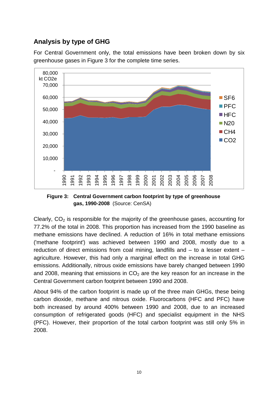## **Analysis by type of GHG**

For Central Government only, the total emissions have been broken down by six greenhouse gases in Figure 3 for the complete time series.



**Figure 3: Central Government carbon footprint by type of greenhouse gas, 1990-2008** (Source: CenSA)

Clearly,  $CO<sub>2</sub>$  is responsible for the majority of the greenhouse gases, accounting for 77.2% of the total in 2008. This proportion has increased from the 1990 baseline as methane emissions have declined. A reduction of 16% in total methane emissions ('methane footprint') was achieved between 1990 and 2008, mostly due to a reduction of direct emissions from coal mining, landfills and – to a lesser extent – agriculture. However, this had only a marginal effect on the increase in total GHG emissions. Additionally, nitrous oxide emissions have barely changed between 1990 and 2008, meaning that emissions in  $CO<sub>2</sub>$  are the key reason for an increase in the Central Government carbon footprint between 1990 and 2008.

About 94% of the carbon footprint is made up of the three main GHGs, these being carbon dioxide, methane and nitrous oxide. Fluorocarbons (HFC and PFC) have both increased by around 400% between 1990 and 2008, due to an increased consumption of refrigerated goods (HFC) and specialist equipment in the NHS (PFC). However, their proportion of the total carbon footprint was still only 5% in 2008.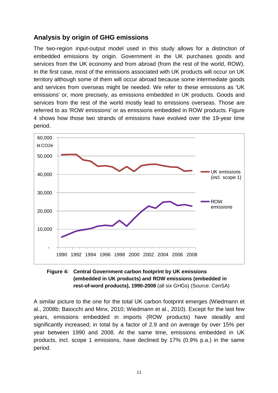## **Analysis by origin of GHG emissions**

The two-region input-output model used in this study allows for a distinction of embedded emissions by origin. Government in the UK purchases goods and services from the UK economy and from abroad (from the rest of the world, ROW). In the first case, most of the emissions associated with UK products will occur on UK territory although some of them will occur abroad because some intermediate goods and services from overseas might be needed. We refer to these emissions as 'UK emissions' or, more precisely, as emissions embedded in UK products. Goods and services from the rest of the world mostly lead to emissions overseas. Those are referred to as 'ROW emissions' or as emissions embedded in ROW products. Figure 4 shows how those two strands of emissions have evolved over the 19-year time period.



#### **Figure 4: Central Government carbon footprint by UK emissions (embedded in UK products) and ROW emissions (embedded in rest-of-word products), 1990-2008** (all six GHGs) (Source: CenSA)

A similar picture to the one for the total UK carbon footprint emerges (Wiedmann et al., 2008b; Baiocchi and Minx, 2010; Wiedmann et al., 2010). Except for the last few years, emissions embedded in imports (ROW products) have steadily and significantly increased; in total by a factor of 2.9 and on average by over 15% per year between 1990 and 2008. At the same time, emissions embedded in UK products, incl. scope 1 emissions, have declined by 17% (0.9% p.a.) in the same period.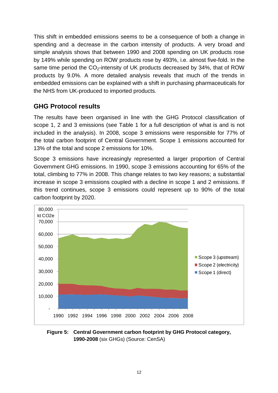This shift in embedded emissions seems to be a consequence of both a change in spending and a decrease in the carbon intensity of products. A very broad and simple analysis shows that between 1990 and 2008 spending on UK products rose by 149% while spending on ROW products rose by 493%, i.e. almost five-fold. In the same time period the  $CO<sub>2</sub>$ -intensity of UK products decreased by 34%, that of ROW products by 9.0%. A more detailed analysis reveals that much of the trends in embedded emissions can be explained with a shift in purchasing pharmaceuticals for the NHS from UK-produced to imported products.

## **GHG Protocol results**

The results have been organised in line with the GHG Protocol classification of scope 1, 2 and 3 emissions (see Table 1 for a full description of what is and is not included in the analysis). In 2008, scope 3 emissions were responsible for 77% of the total carbon footprint of Central Government. Scope 1 emissions accounted for 13% of the total and scope 2 emissions for 10%.

Scope 3 emissions have increasingly represented a larger proportion of Central Government GHG emissions. In 1990, scope 3 emissions accounting for 65% of the total, climbing to 77% in 2008. This change relates to two key reasons; a substantial increase in scope 3 emissions coupled with a decline in scope 1 and 2 emissions. If this trend continues, scope 3 emissions could represent up to 90% of the total carbon footprint by 2020.



**Figure 5: Central Government carbon footprint by GHG Protocol category, 1990-2008** (six GHGs) (Source: CenSA)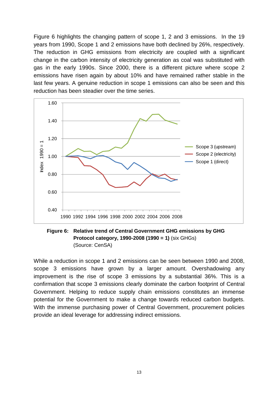Figure 6 highlights the changing pattern of scope 1, 2 and 3 emissions. In the 19 years from 1990, Scope 1 and 2 emissions have both declined by 26%, respectively. The reduction in GHG emissions from electricity are coupled with a significant change in the carbon intensity of electricity generation as coal was substituted with gas in the early 1990s. Since 2000, there is a different picture where scope 2 emissions have risen again by about 10% and have remained rather stable in the last few years. A genuine reduction in scope 1 emissions can also be seen and this reduction has been steadier over the time series.



**Figure 6: Relative trend of Central Government GHG emissions by GHG Protocol category, 1990-2008 (1990 = 1)** (six GHGs) (Source: CenSA)

While a reduction in scope 1 and 2 emissions can be seen between 1990 and 2008, scope 3 emissions have grown by a larger amount. Overshadowing any improvement is the rise of scope 3 emissions by a substantial 36%. This is a confirmation that scope 3 emissions clearly dominate the carbon footprint of Central Government. Helping to reduce supply chain emissions constitutes an immense potential for the Government to make a change towards reduced carbon budgets. With the immense purchasing power of Central Government, procurement policies provide an ideal leverage for addressing indirect emissions.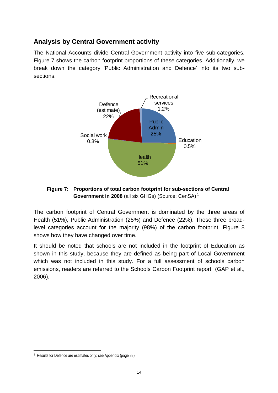## **Analysis by Central Government activity**

The National Accounts divide Central Government activity into five sub-categories. Figure 7 shows the carbon footprint proportions of these categories. Additionally, we break down the category 'Public Administration and Defence' into its two subsections.



### **Figure 7: Proportions of total carbon footprint for sub-sections of Central Government in 2008** (all six GHGs) (Source: CenSA)<sup>1</sup>

The carbon footprint of Central Government is dominated by the three areas of Health (51%), Public Administration (25%) and Defence (22%). These three broadlevel categories account for the majority (98%) of the carbon footprint. Figure 8 shows how they have changed over time.

It should be noted that schools are not included in the footprint of Education as shown in this study, because they are defined as being part of Local Government which was not included in this study. For a full assessment of schools carbon emissions, readers are referred to the Schools Carbon Footprint report (GAP et al., 2006).

<sup>&</sup>lt;sup>1</sup> Results for Defence are estimates only; see Appendix (page 33).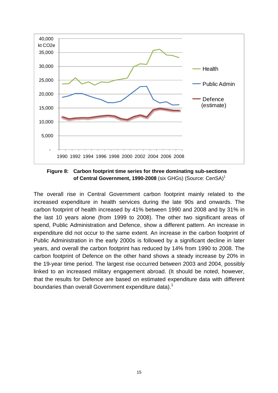

**Figure 8: Carbon footprint time series for three dominating sub-sections of Central Government, 1990-2008** (six GHGs) (Source: CenSA) 1

The overall rise in Central Government carbon footprint mainly related to the increased expenditure in health services during the late 90s and onwards. The carbon footprint of health increased by 41% between 1990 and 2008 and by 31% in the last 10 years alone (from 1999 to 2008). The other two significant areas of spend, Public Administration and Defence, show a different pattern. An increase in expenditure did not occur to the same extent. An increase in the carbon footprint of Public Administration in the early 2000s is followed by a significant decline in later years, and overall the carbon footprint has reduced by 14% from 1990 to 2008. The carbon footprint of Defence on the other hand shows a steady increase by 20% in the 19-year time period. The largest rise occurred between 2003 and 2004, possibly linked to an increased military engagement abroad. (It should be noted, however, that the results for Defence are based on estimated expenditure data with different boundaries than overall Government expenditure data).<sup>1</sup>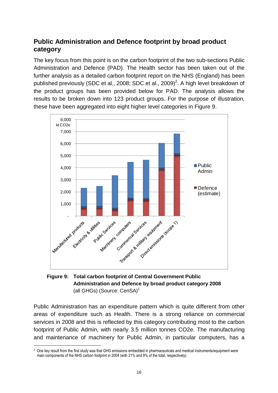## **Public Administration and Defence footprint by broad product category**

The key focus from this point is on the carbon footprint of the two sub-sections Public Administration and Defence (PAD). The Health sector has been taken out of the further analysis as a detailed carbon footprint report on the NHS (England) has been published previously (SDC et al., 2008; SDC et al., 2009) $^2$ . A high level breakdown of the product groups has been provided below for PAD. The analysis allows the results to be broken down into 123 product groups. For the purpose of illustration, these have been aggregated into eight higher level categories in Figure 9.



## **Administration and Defence by broad product category 2008** (all GHGs) (Source: CenSA)<sup>1</sup>

Public Administration has an expenditure pattern which is quite different from other areas of expenditure such as Health. There is a strong reliance on commercial services in 2008 and this is reflected by this category contributing most to the carbon footprint of Public Admin, with nearly 3.5 million tonnes CO2e. The manufacturing and maintenance of machinery for Public Admin, in particular computers, has a

<sup>&</sup>lt;sup>2</sup> One key result from the first study was that GHG emissions embedded in pharmaceuticals and medical instruments/equipment were main components of the NHS carbon footprint in 2004 (with 21% and 9% of the total, respectively).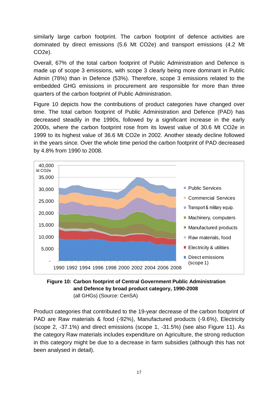similarly large carbon footprint. The carbon footprint of defence activities are dominated by direct emissions (5.6 Mt CO2e) and transport emissions (4.2 Mt CO2e).

Overall, 67% of the total carbon footprint of Public Administration and Defence is made up of scope 3 emissions, with scope 3 clearly being more dominant in Public Admin (78%) than in Defence (53%). Therefore, scope 3 emissions related to the embedded GHG emissions in procurement are responsible for more than three quarters of the carbon footprint of Public Administration.

Figure 10 depicts how the contributions of product categories have changed over time. The total carbon footprint of Public Administration and Defence (PAD) has decreased steadily in the 1990s, followed by a significant increase in the early 2000s, where the carbon footprint rose from its lowest value of 30.6 Mt CO2e in 1999 to its highest value of 36.6 Mt CO2e in 2002. Another steady decline followed in the years since. Over the whole time period the carbon footprint of PAD decreased by 4.8% from 1990 to 2008.





Product categories that contributed to the 19-year decrease of the carbon footprint of PAD are Raw materials & food (-92%), Manufactured products (-9.6%), Electricity (scope 2, -37.1%) and direct emissions (scope 1, -31.5%) (see also Figure 11). As the category Raw materials includes expenditure on Agriculture, the strong reduction in this category might be due to a decrease in farm subsidies (although this has not been analysed in detail).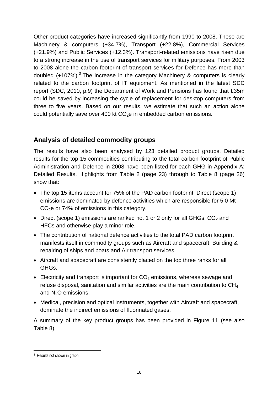Other product categories have increased significantly from 1990 to 2008. These are Machinery & computers (+34.7%), Transport (+22.8%), Commercial Services (+21.9%) and Public Services (+12.3%). Transport-related emissions have risen due to a strong increase in the use of transport services for military purposes. From 2003 to 2008 alone the carbon footprint of transport services for Defence has more than doubled (+107%).<sup>3</sup> The increase in the category Machinery & computers is clearly related to the carbon footprint of IT equipment. As mentioned in the latest SDC report (SDC, 2010, p.9) the Department of Work and Pensions has found that £35m could be saved by increasing the cycle of replacement for desktop computers from three to five years. Based on our results, we estimate that such an action alone could potentially save over 400 kt  $CO<sub>2</sub>e$  in embedded carbon emissions.

## **Analysis of detailed commodity groups**

The results have also been analysed by 123 detailed product groups. Detailed results for the top 15 commodities contributing to the total carbon footprint of Public Administration and Defence in 2008 have been listed for each GHG in Appendix A: Detailed Results. Highlights from Table 2 (page 23) through to Table 8 (page 26) show that:

- The top 15 items account for 75% of the PAD carbon footprint. Direct (scope 1) emissions are dominated by defence activities which are responsible for 5.0 Mt  $CO<sub>2</sub>e$  or 74% of emissions in this category.
- Direct (scope 1) emissions are ranked no. 1 or 2 only for all GHGs,  $CO<sub>2</sub>$  and HFCs and otherwise play a minor role.
- The contribution of national defence activities to the total PAD carbon footprint manifests itself in commodity groups such as Aircraft and spacecraft. Building & repairing of ships and boats and Air transport services.
- Aircraft and spacecraft are consistently placed on the top three ranks for all GHGs.
- Electricity and transport is important for  $CO<sub>2</sub>$  emissions, whereas sewage and refuse disposal, sanitation and similar activities are the main contribution to CH<sup>4</sup> and  $N<sub>2</sub>O$  emissions.
- Medical, precision and optical instruments, together with Aircraft and spacecraft, dominate the indirect emissions of fluorinated gases.

A summary of the key product groups has been provided in Figure 11 (see also Table 8).

<sup>&</sup>lt;sup>3</sup> Results not shown in graph.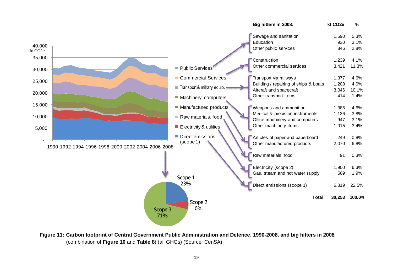|                      |                                                   |                             | Big hitters in 2008:                  | kt CO <sub>2e</sub> | %      |
|----------------------|---------------------------------------------------|-----------------------------|---------------------------------------|---------------------|--------|
|                      |                                                   |                             | Sewage and sanitation                 | 1,590               | 5.3%   |
| 40,000               |                                                   |                             | Education                             | 930                 | 3.1%   |
| kt CO <sub>2</sub> e |                                                   |                             | Other public services                 | 846                 | 2.8%   |
| 35,000               |                                                   |                             | Construction                          | 1,239               | 4.1%   |
| 30,000               |                                                   | Public Services             | Other commercial services             | 3,421               | 11.3%  |
|                      |                                                   | Commercial Services         | Transport via railways                | 1,377               | 4.6%   |
| 25,000               |                                                   | Transport & military equip. | Building / repairing of ships & boats | 1,208               | 4.0%   |
| 20,000               |                                                   |                             | Aircraft and spacecraft               | 3,046               | 10.1%  |
|                      |                                                   | Machinery, computers        | Other transport items                 | 414                 | 1.4%   |
| 15,000               |                                                   | Manufactured products       | Weapons and ammunition                | 1,385               | 4.6%   |
|                      |                                                   |                             | Medical & precision instruments       | 1,136               | 3.8%   |
| 10,000               |                                                   | Raw materials, food         | Office machinery and computers        | 947                 | 3.1%   |
| 5,000                |                                                   | Electricity & utilities     | Other machinery items                 | 1,015               | 3.4%   |
|                      |                                                   | Direct emissions            | Articles of paper and paperboard      | 249                 | 0.8%   |
|                      | 1990 1992 1994 1996 1998 2000 2002 2004 2006 2008 | (scope 1)                   | Other manufactured products           | 2,070               | 6.8%   |
|                      |                                                   |                             | Raw materials, food                   | 91                  | 0.3%   |
|                      |                                                   |                             | Electricity (scope 2)                 | 1,900               | 6.3%   |
|                      |                                                   |                             | Gas, steam and hot water supply       | 569                 | 1.9%   |
|                      |                                                   | Scope 1                     |                                       |                     |        |
|                      |                                                   | 23%                         | Direct emissions (scope 1)            | 6,819               | 22.5%  |
|                      | Scope 3<br>71%                                    | Scope 2<br>6%               | <b>Total</b>                          | 30,253              | 100.0% |
|                      |                                                   |                             |                                       |                     |        |

**Figure 11: Carbon footprint of Central Government Public Administration and Defence, 1990-2008, and big hitters in 2008** (combination of **Figure 10** and **Table 8**) (all GHGs) (Source: CenSA)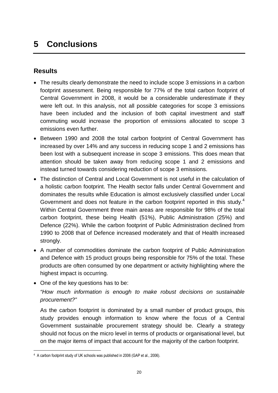## **5 Conclusions**

### **Results**

- The results clearly demonstrate the need to include scope 3 emissions in a carbon footprint assessment. Being responsible for 77% of the total carbon footprint of Central Government in 2008, it would be a considerable underestimate if they were left out. In this analysis, not all possible categories for scope 3 emissions have been included and the inclusion of both capital investment and staff commuting would increase the proportion of emissions allocated to scope 3 emissions even further.
- Between 1990 and 2008 the total carbon footprint of Central Government has increased by over 14% and any success in reducing scope 1 and 2 emissions has been lost with a subsequent increase in scope 3 emissions. This does mean that attention should be taken away from reducing scope 1 and 2 emissions and instead turned towards considering reduction of scope 3 emissions.
- The distinction of Central and Local Government is not useful in the calculation of a holistic carbon footprint. The Health sector falls under Central Government and dominates the results while Education is almost exclusively classified under Local Government and does not feature in the carbon footprint reported in this study. $4$ Within Central Government three main areas are responsible for 98% of the total carbon footprint, these being Health (51%), Public Administration (25%) and Defence (22%). While the carbon footprint of Public Administration declined from 1990 to 2008 that of Defence increased moderately and that of Health increased strongly.
- A number of commodities dominate the carbon footprint of Public Administration and Defence with 15 product groups being responsible for 75% of the total. These products are often consumed by one department or activity highlighting where the highest impact is occurring.
- One of the key questions has to be:

*"How much information is enough to make robust decisions on sustainable procurement?"*

As the carbon footprint is dominated by a small number of product groups, this study provides enough information to know where the focus of a Central Government sustainable procurement strategy should be. Clearly a strategy should not focus on the micro level in terms of products or organisational level, but on the major items of impact that account for the majority of the carbon footprint.

<sup>4</sup> A carbon footprint study of UK schools was published in 2006 (GAP et al., 2006).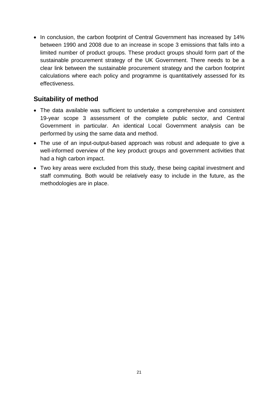• In conclusion, the carbon footprint of Central Government has increased by 14% between 1990 and 2008 due to an increase in scope 3 emissions that falls into a limited number of product groups. These product groups should form part of the sustainable procurement strategy of the UK Government. There needs to be a clear link between the sustainable procurement strategy and the carbon footprint calculations where each policy and programme is quantitatively assessed for its effectiveness.

## **Suitability of method**

- The data available was sufficient to undertake a comprehensive and consistent 19-year scope 3 assessment of the complete public sector, and Central Government in particular. An identical Local Government analysis can be performed by using the same data and method.
- The use of an input-output-based approach was robust and adequate to give a well-informed overview of the key product groups and government activities that had a high carbon impact.
- Two key areas were excluded from this study, these being capital investment and staff commuting. Both would be relatively easy to include in the future, as the methodologies are in place.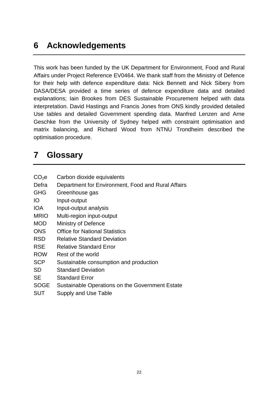## **6 Acknowledgements**

This work has been funded by the UK Department for Environment, Food and Rural Affairs under Project Reference EV0464. We thank staff from the Ministry of Defence for their help with defence expenditure data: Nick Bennett and Nick Sibery from DASA/DESA provided a time series of defence expenditure data and detailed explanations; Iain Brookes from DES Sustainable Procurement helped with data interpretation. David Hastings and Francis Jones from ONS kindly provided detailed Use tables and detailed Government spending data. Manfred Lenzen and Arne Geschke from the University of Sydney helped with constraint optimisation and matrix balancing, and Richard Wood from NTNU Trondheim described the optimisation procedure.

## **7 Glossary**

| CO <sub>2</sub> e | Carbon dioxide equivalents |
|-------------------|----------------------------|
|-------------------|----------------------------|

- Defra Department for Environment, Food and Rural Affairs
- GHG Greenhouse gas
- IO Input-output
- IOA Input-output analysis
- MRIO Multi-region input-output
- MOD Ministry of Defence
- ONS Office for National Statistics
- RSD Relative Standard Deviation
- RSE Relative Standard Error
- ROW Rest of the world
- SCP Sustainable consumption and production
- SD Standard Deviation
- SE Standard Error
- SOGE Sustainable Operations on the Government Estate
- SUT Supply and Use Table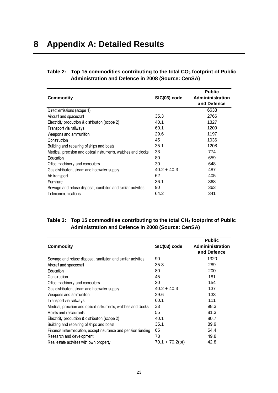#### **Table 2: Top 15 commodities contributing to the total CO<sup>2</sup> footprint of Public Administration and Defence in 2008 (Source: CenSA)**

|                                                                |               | <b>Public</b>    |
|----------------------------------------------------------------|---------------|------------------|
| Commodity                                                      | SIC(03) code  | Admininistration |
|                                                                |               | and Defence      |
| Direct emissions (scope 1)                                     |               | 6633             |
| Aircraft and spacecraft                                        | 35.3          | 2766             |
| Electricity production & distribution (scope 2)                | 40.1          | 1827             |
| Transport via railways                                         | 60.1          | 1209             |
| Weapons and ammunition                                         | 29.6          | 1197             |
| Construction                                                   | 45            | 1036             |
| Building and repairing of ships and boats                      | 35.1          | 1208             |
| Medical, precision and optical instruments, watches and clocks | 33            | 774              |
| Education                                                      | 80            | 659              |
| Office machinery and computers                                 | 30            | 648              |
| Gas distribution, steam and hot water supply                   | $40.2 + 40.3$ | 487              |
| Air transport                                                  | 62            | 405              |
| Furniture                                                      | 36.1          | 368              |
| Sewage and refuse disposal, sanitation and similar activities  | 90            | 363              |
| Telecommunications                                             | 64.2          | 341              |

### **Table 3: Top 15 commodities contributing to the total CH<sup>4</sup> footprint of Public Administration and Defence in 2008 (Source: CenSA)**

|                                                                |                 | <b>Public</b>    |
|----------------------------------------------------------------|-----------------|------------------|
| <b>Commodity</b>                                               | SIC(03) code    | Admininistration |
|                                                                |                 | and Defence      |
| Sewage and refuse disposal, sanitation and similar activities  | 90              | 1320             |
| Aircraft and spacecraft                                        | 35.3            | 289              |
| Education                                                      | 80              | 200              |
| Construction                                                   | 45              | 181              |
| Office machinery and computers                                 | 30              | 154              |
| Gas distribution, steam and hot water supply                   | $40.2 + 40.3$   | 137              |
| Weapons and ammunition                                         | 29.6            | 133              |
| Transport via railways                                         | 60.1            | 111              |
| Medical, precision and optical instruments, watches and clocks | 33              | 98.3             |
| Hotels and restaurants                                         | 55              | 81.3             |
| Electricity production & distribution (scope 2)                | 40.1            | 80.7             |
| Building and repairing of ships and boats                      | 35.1            | 89.9             |
| Financial intermediation, except insurance and pension funding | 65              | 54.4             |
| Research and development                                       | 73              | 49.8             |
| Real estate activities with own property                       | 70.1 + 70.2(pt) | 42.8             |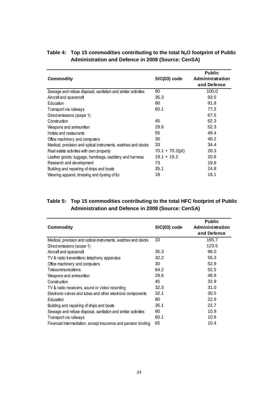|                                                                |                   | <b>Public</b>    |
|----------------------------------------------------------------|-------------------|------------------|
| <b>Commodity</b>                                               | SIC(03) code      | Admininistration |
|                                                                |                   | and Defence      |
| Sewage and refuse disposal, sanitation and similar activities  | 90                | 100.0            |
| Aircraft and spacecraft                                        | 35.3              | 93.5             |
| Education                                                      | 80                | 91.8             |
| Transport via railways                                         | 60.1              | 77.2             |
| Direct emissions (scope 1)                                     |                   | 67.5             |
| Construction                                                   | 45                | 62.3             |
| Weapons and ammunition                                         | 29.6              | 52.3             |
| Hotels and restaurants                                         | 55                | 49.4             |
| Office machinery and computers                                 | 30                | 49.2             |
| Medical, precision and optical instruments, watches and clocks | 33                | 34.4             |
| Real estate activities with own property                       | $70.1 + 70.2(pt)$ | 28.3             |
| Leather goods; luggage, handbags, saddlery and harness         | $19.1 + 19.2$     | 20.6             |
| Research and development                                       | 73                | 19.8             |
| Building and repairing of ships and boats                      | 35.1              | 24.8             |
| Wearing apparel; dressing and dyeing of fur                    | 18                | 18.1             |

#### **Table 4: Top 15 commodities contributing to the total N2O footprint of Public Administration and Defence in 2008 (Source: CenSA)**

### **Table 5: Top 15 commodities contributing to the total HFC footprint of Public Administration and Defence in 2008 (Source: CenSA)**

| Commodity                                                      | SIC(03) code | <b>Public</b><br>Admininistration<br>and Defence |
|----------------------------------------------------------------|--------------|--------------------------------------------------|
| Medical, precision and optical instruments, watches and clocks | 33           | 165.7                                            |
| Direct emissions (scope 1)                                     |              | 123.5                                            |
| Aircraft and spacecraft                                        | 35.3         | 96.0                                             |
| TV & radio transmitters; telephony apparatus                   | 32.2         | 55.3                                             |
| Office machinery and computers                                 | 30           | 52.9                                             |
| Telecommunications                                             | 64.2         | 52.5                                             |
| Weapons and ammunition                                         | 29.6         | 48.9                                             |
| Construction                                                   | 45           | 32.9                                             |
| TV & radio receivers, sound or video recording                 | 32.3         | 31.0                                             |
| Electronic valves and tubes and other electronic components    | 32.1         | 30.5                                             |
| Education                                                      | 80           | 22.9                                             |
| Building and repairing of ships and boats                      | 35.1         | 22.7                                             |
| Sewage and refuse disposal, sanitation and similar activities  | 90           | 10.9                                             |
| Transport via railways                                         | 60.1         | 10.6                                             |
| Financial intermediation, except insurance and pension funding | 65           | 10.4                                             |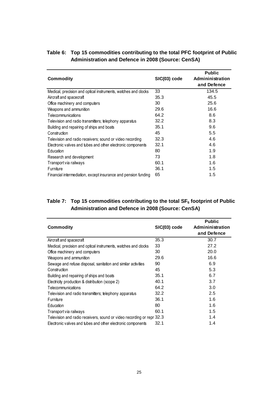| <b>Commodity</b>                                               | SIC(03) code | <b>Public</b><br>Admininistration<br>and Defence |
|----------------------------------------------------------------|--------------|--------------------------------------------------|
| Medical, precision and optical instruments, watches and clocks | 33           | 134.5                                            |
| Aircraft and spacecraft                                        | 35.3         | 45.5                                             |
| Office machinery and computers                                 | 30           | 25.6                                             |
| Weapons and ammunition                                         | 29.6         | 16.6                                             |
| Telecommunications                                             | 64.2         | 8.6                                              |
| Television and radio transmitters; telephony apparatus         | 32.2         | 8.3                                              |
| Building and repairing of ships and boats                      | 35.1         | 9.6                                              |
| Construction                                                   | 45           | 5.5                                              |
| Television and radio receivers; sound or video recording       | 32.3         | 4.6                                              |
| Electronic valves and tubes and other electronic components    | 32.1         | 4.6                                              |
| Education                                                      | 80           | 1.9                                              |
| Research and development                                       | 73           | 1.8                                              |
| Transport via railways                                         | 60.1         | 1.6                                              |
| Furniture                                                      | 36.1         | 1.5                                              |
| Financial intermediation, except insurance and pension funding | 65           | 1.5                                              |

#### **Table 6: Top 15 commodities contributing to the total PFC footprint of Public Administration and Defence in 2008 (Source: CenSA)**

### **Table 7: Top 15 commodities contributing to the total SF<sup>6</sup> footprint of Public Administration and Defence in 2008 (Source: CenSA)**

| Commodity                                                             | SIC(03) code | <b>Public</b><br>Admininistration<br>and Defence |
|-----------------------------------------------------------------------|--------------|--------------------------------------------------|
| Aircraft and spacecraft                                               | 35.3         | 30.7                                             |
| Medical, precision and optical instruments, watches and clocks        | 33           | 27.2                                             |
| Office machinery and computers                                        | 30           | 20.0                                             |
| Weapons and ammunition                                                | 29.6         | 16.6                                             |
| Sewage and refuse disposal, sanitation and similar activities         | 90           | 6.9                                              |
| Construction                                                          | 45           | 5.3                                              |
| Building and repairing of ships and boats                             | 35.1         | 6.7                                              |
| Electricity production & distribution (scope 2)                       | 40.1         | 3.7                                              |
| Telecommunications                                                    | 64.2         | 3.0                                              |
| Television and radio transmitters; telephony apparatus                | 32.2         | 2.5                                              |
| Furniture                                                             | 36.1         | 1.6                                              |
| Education                                                             | 80           | 1.6                                              |
| Transport via railways                                                | 60.1         | 1.5                                              |
| Television and radio receivers, sound or video recording or repr 32.3 |              | 1.4                                              |
| Electronic valves and tubes and other electronic components           | 32.1         | 1.4                                              |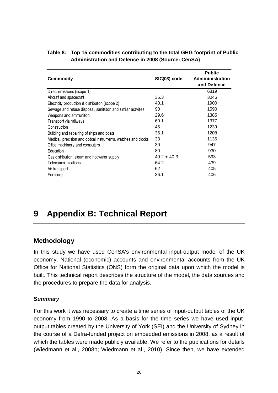| <b>Commodity</b>                                               | SIC(03) code  | <b>Public</b><br>Admininistration<br>and Defence |
|----------------------------------------------------------------|---------------|--------------------------------------------------|
| Direct emissions (scope 1)                                     |               | 6819                                             |
| Aircraft and spacecraft                                        | 35.3          | 3046                                             |
| Electricity production & distribution (scope 2)                | 40.1          | 1900                                             |
| Sewage and refuse disposal, sanitation and similar activities  | 90            | 1590                                             |
| Weapons and ammunition                                         | 29.6          | 1385                                             |
| Transport via railways                                         | 60.1          | 1377                                             |
| Construction                                                   | 45            | 1239                                             |
| Building and repairing of ships and boats                      | 35.1          | 1208                                             |
| Medical, precision and optical instruments, watches and clocks | 33            | 1136                                             |
| Office machinery and computers                                 | 30            | 947                                              |
| Education                                                      | 80            | 930                                              |
| Gas distribution, steam and hot water supply                   | $40.2 + 40.3$ | 593                                              |
| Telecommunications                                             | 64.2          | 439                                              |
| Air transport                                                  | 62            | 405                                              |
| Furniture                                                      | 36.1          | 406                                              |

#### **Table 8: Top 15 commodities contributing to the total GHG footprint of Public Administration and Defence in 2008 (Source: CenSA)**

# **9 Appendix B: Technical Report**

## **Methodology**

In this study we have used CenSA's environmental input-output model of the UK economy. National (economic) accounts and environmental accounts from the UK Office for National Statistics (ONS) form the original data upon which the model is built. This technical report describes the structure of the model, the data sources and the procedures to prepare the data for analysis.

### *Summary*

For this work it was necessary to create a time series of input-output tables of the UK economy from 1990 to 2008. As a basis for the time series we have used inputoutput tables created by the University of York (SEI) and the University of Sydney in the course of a Defra-funded project on embedded emissions in 2008, as a result of which the tables were made publicly available. We refer to the publications for details (Wiedmann et al., 2008b; Wiedmann et al., 2010). Since then, we have extended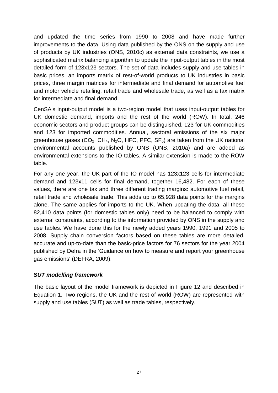and updated the time series from 1990 to 2008 and have made further improvements to the data. Using data published by the ONS on the supply and use of products by UK industries (ONS, 2010c) as external data constraints, we use a sophisticated matrix balancing algorithm to update the input-output tables in the most detailed form of 123x123 sectors. The set of data includes supply and use tables in basic prices, an imports matrix of rest-of-world products to UK industries in basic prices, three margin matrices for intermediate and final demand for automotive fuel and motor vehicle retailing, retail trade and wholesale trade, as well as a tax matrix for intermediate and final demand.

CenSA's input-output model is a two-region model that uses input-output tables for UK domestic demand, imports and the rest of the world (ROW). In total, 246 economic sectors and product groups can be distinguished, 123 for UK commodities and 123 for imported commodities. Annual, sectoral emissions of the six major greenhouse gases  $(CO_2, CH_4, N_2O, HFC, PFC, SF_6)$  are taken from the UK national environmental accounts published by ONS (ONS, 2010a) and are added as environmental extensions to the IO tables. A similar extension is made to the ROW table.

For any one year, the UK part of the IO model has 123x123 cells for intermediate demand and 123x11 cells for final demand, together 16,482. For each of these values, there are one tax and three different trading margins: automotive fuel retail, retail trade and wholesale trade. This adds up to 65,928 data points for the margins alone. The same applies for imports to the UK. When updating the data, all these 82,410 data points (for domestic tables only) need to be balanced to comply with external constraints, according to the information provided by ONS in the supply and use tables. We have done this for the newly added years 1990, 1991 and 2005 to 2008. Supply chain conversion factors based on these tables are more detailed, accurate and up-to-date than the basic-price factors for 76 sectors for the year 2004 published by Defra in the 'Guidance on how to measure and report your greenhouse gas emissions' (DEFRA, 2009).

### *SUT modelling framework*

The basic layout of the model framework is depicted in Figure 12 and described in Equation 1. Two regions, the UK and the rest of world (ROW) are represented with supply and use tables (SUT) as well as trade tables, respectively.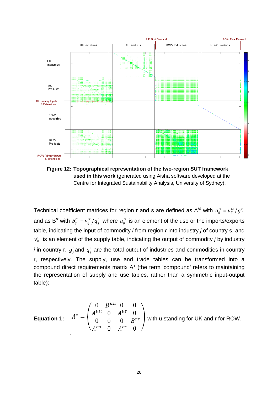

**Figure 12: Topographical representation of the two-region SUT framework used in this work** (generated using Aisha software developed at the Centre for Integrated Sustainability Analysis, University of Sydney).

Technical coefficient matrices for region r and s are defined as A<sup>rs</sup> with  $a^{rs}_{ij} = u^{rs}_{ij} \big/ g^{rs}_{ji}$ *rs ij*  $a^{rs}_{ij} = u^{rs}_{ij} \big/ g$ and as B $^{\prime\prime}$  with  $\left|b^{rr}_{ij} = v^{rr}_{ij}\right>/q^r_{ji}$ *rr ij*  $b_{ij}^{rr}$  =  $v_{ij}^{rr} \left/ q_j^r \right.$  where  $u_{ij}^{rs}$  is an element of the use or the imports/exports table, indicating the input of commodity *i* from region *r* into industry *j* of country s, and  $v_{ij}^{rr}$  is an element of the supply table, indicating the output of commodity *j* by industry *i* in country r.  $g_j^r$  and  $q_j^r$  are the total output of industries and commodities in country r, respectively. The supply, use and trade tables can be transformed into a compound direct requirements matrix A\* (the term 'compound' refers to maintaining the representation of supply and use tables, rather than a symmetric input-output table):

**Equation 1:** 
$$
A^* = \begin{pmatrix} 0 & B^{uu} & 0 & 0 \\ A^{uu} & 0 & A^{ur} & 0 \\ 0 & 0 & 0 & B^{rr} \\ A^{ru} & 0 & A^{rr} & 0 \end{pmatrix}
$$
 with u standing for UK and r for Row.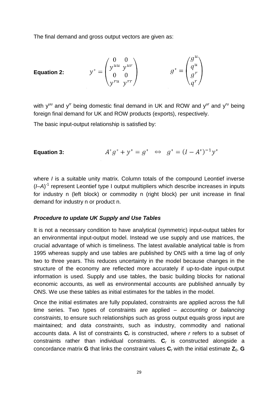The final demand and gross output vectors are given as:

Equation 2:

\n
$$
y^* = \begin{pmatrix} 0 & 0 \\ y^{uu} & y^{ur} \\ 0 & 0 \\ y^{ru} & y^{rr} \end{pmatrix} \qquad \qquad g^* = \begin{pmatrix} g^u \\ q^u \\ g^r \\ q^r \end{pmatrix}
$$

with y<sup>uu</sup> and y<sup>''</sup> being domestic final demand in UK and ROW and y<sup>ur</sup> and y<sup>'u</sup> being foreign final demand for UK and ROW products (exports), respectively.

The basic input-output relationship is satisfied by:

**Equation 3:** 
$$
A^*g^* + y^* = g^* \iff g^* = (I - A^*)^{-1}y^*
$$

where *I* is a suitable unity matrix. Column totals of the compound Leontief inverse (I-A)<sup>-1</sup> represent Leontief type I output multipliers which describe increases in inputs for industry n (left block) or commodity n (right block) per unit increase in final demand for industry n or product n.

#### *Procedure to update UK Supply and Use Tables*

It is not a necessary condition to have analytical (symmetric) input-output tables for an environmental input-output model. Instead we use supply and use matrices, the crucial advantage of which is timeliness. The latest available analytical table is from 1995 whereas supply and use tables are published by ONS with a time lag of only two to three years. This reduces uncertainty in the model because changes in the structure of the economy are reflected more accurately if up-to-date input-output information is used. Supply and use tables, the basic building blocks for national economic accounts, as well as environmental accounts are published annually by ONS. We use these tables as initial estimates for the tables in the model.

Once the initial estimates are fully populated, constraints are applied across the full time series. Two types of constraints are applied – *accounting or balancing constraints*, to ensure such relationships such as gross output equals gross input are maintained; and *data constraints*, such as industry, commodity and national accounts data. A list of constraints **C***<sup>r</sup>* is constructed, where *r* refers to a subset of constraints rather than individual constraints. **C***<sup>r</sup>* is constructed alongside a concordance matrix **G** that links the constraint values  $C_r$  with the initial estimate  $Z_0$ . **G**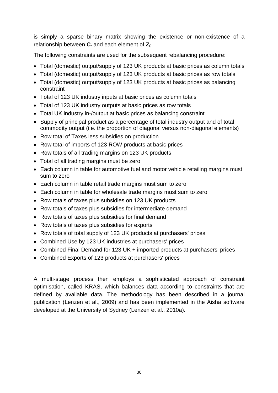is simply a sparse binary matrix showing the existence or non-existence of a relationship between  $C_r$  and each element of  $Z_0$ .

The following constraints are used for the subsequent rebalancing procedure:

- Total (domestic) output/supply of 123 UK products at basic prices as column totals
- Total (domestic) output/supply of 123 UK products at basic prices as row totals
- Total (domestic) output/supply of 123 UK products at basic prices as balancing constraint
- Total of 123 UK industry inputs at basic prices as column totals
- Total of 123 UK industry outputs at basic prices as row totals
- Total UK industry in-/output at basic prices as balancing constraint
- Supply of principal product as a percentage of total industry output and of total commodity output (i.e. the proportion of diagonal versus non-diagonal elements)
- Row total of Taxes less subsidies on production
- Row total of imports of 123 ROW products at basic prices
- Row totals of all trading margins on 123 UK products
- Total of all trading margins must be zero
- Each column in table for automotive fuel and motor vehicle retailing margins must sum to zero
- Each column in table retail trade margins must sum to zero
- Each column in table for wholesale trade margins must sum to zero
- Row totals of taxes plus subsidies on 123 UK products
- Row totals of taxes plus subsidies for intermediate demand
- Row totals of taxes plus subsidies for final demand
- Row totals of taxes plus subsidies for exports
- Row totals of total supply of 123 UK products at purchasers' prices
- Combined Use by 123 UK industries at purchasers' prices
- Combined Final Demand for 123 UK + imported products at purchasers' prices
- Combined Exports of 123 products at purchasers' prices

A multi-stage process then employs a sophisticated approach of constraint optimisation, called KRAS, which balances data according to constraints that are defined by available data. The methodology has been described in a journal publication (Lenzen et al., 2009) and has been implemented in the Aisha software developed at the University of Sydney (Lenzen et al., 2010a).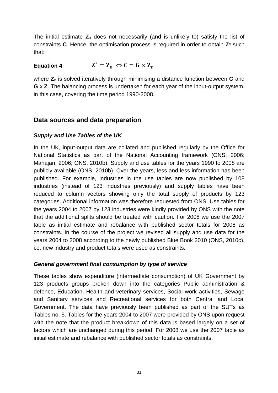The initial estimate  $Z_0$  does not necessarily (and is unlikely to) satisfy the list of constraints **C**. Hence, the optimisation process is required in order to obtain **Z**\* such that:

#### $\mathbf{Z}^* = \mathbf{Z}_n \Leftrightarrow \mathbf{C} = \mathbf{G} \times \mathbf{Z}_n$ **Equation 4**

where  $Z_n$  is solved iteratively through minimising a distance function between **C** and **G** x **Z**. The balancing process is undertaken for each year of the input-output system, in this case, covering the time period 1990-2008.

## **Data sources and data preparation**

### *Supply and Use Tables of the UK*

In the UK, input-output data are collated and published regularly by the Office for National Statistics as part of the National Accounting framework (ONS, 2006; Mahajan, 2006; ONS, 2010b). Supply and use tables for the years 1990 to 2008 are publicly available (ONS, 2010b). Over the years, less and less information has been published. For example, industries in the use tables are now published by 108 industries (instead of 123 industries previously) and supply tables have been reduced to column vectors showing only the total supply of products by 123 categories. Additional information was therefore requested from ONS. Use tables for the years 2004 to 2007 by 123 industries were kindly provided by ONS with the note that the additional splits should be treated with caution. For 2008 we use the 2007 table as initial estimate and rebalance with published sector totals for 2008 as constraints. In the course of the project we revised all supply and use data for the years 2004 to 2008 according to the newly published Blue Book 2010 (ONS, 2010c), i.e. new industry and product totals were used as constraints.

### *General government final consumption by type of service*

These tables show expenditure (intermediate consumption) of UK Government by 123 products groups broken down into the categories Public administration & defence, Education, Health and veterinary services, Social work activities, Sewage and Sanitary services and Recreational services for both Central and Local Government. The data have previously been published as part of the SUTs as Tables no. 5. Tables for the years 2004 to 2007 were provided by ONS upon request with the note that the product breakdown of this data is based largely on a set of factors which are unchanged during this period. For 2008 we use the 2007 table as initial estimate and rebalance with published sector totals as constraints.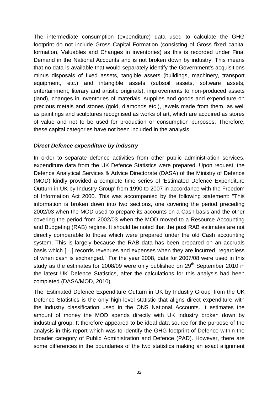The intermediate consumption (expenditure) data used to calculate the GHG footprint do not include Gross Capital Formation (consisting of Gross fixed capital formation, Valuables and Changes in inventories) as this is recorded under Final Demand in the National Accounts and is not broken down by industry. This means that no data is available that would separately identify the Government's acquisitions minus disposals of fixed assets, tangible assets (buildings, machinery, transport equipment, etc.) and intangible assets (subsoil assets, software assets, entertainment, literary and artistic originals), improvements to non-produced assets (land), changes in inventories of materials, supplies and goods and expenditure on precious metals and stones (gold, diamonds etc.), jewels made from them, as well as paintings and sculptures recognised as works of art, which are acquired as stores of value and not to be used for production or consumption purposes. Therefore, these capital categories have not been included in the analysis.

### *Direct Defence expenditure by industry*

In order to separate defence activities from other public administration services, expenditure data from the UK Defence Statistics were prepared. Upon request, the Defence Analytical Services & Advice Directorate (DASA) of the Ministry of Defence (MOD) kindly provided a complete time series of 'Estimated Defence Expenditure Outturn in UK by Industry Group' from 1990 to 2007 in accordance with the Freedom of Information Act 2000. This was accompanied by the following statement: "This information is broken down into two sections, one covering the period preceding 2002/03 when the MOD used to prepare its accounts on a Cash basis and the other covering the period from 2002/03 when the MOD moved to a Resource Accounting and Budgeting (RAB) regime. It should be noted that the post RAB estimates are not directly comparable to those which were prepared under the old Cash accounting system. This is largely because the RAB data has been prepared on an accruals basis which […] records revenues and expenses when they are incurred, regardless of when cash is exchanged." For the year 2008, data for 2007/08 were used in this study as the estimates for 2008/09 were only published on  $29<sup>th</sup>$  September 2010 in the latest UK Defence Statistics, after the calculations for this analysis had been completed (DASA/MOD, 2010).

The 'Estimated Defence Expenditure Outturn in UK by Industry Group' from the UK Defence Statistics is the only high-level statistic that aligns direct expenditure with the industry classification used in the ONS National Accounts. It estimates the amount of money the MOD spends directly with UK industry broken down by industrial group. It therefore appeared to be ideal data source for the purpose of the analysis in this report which was to identify the GHG footprint of Defence within the broader category of Public Administration and Defence (PAD). However, there are some differences in the boundaries of the two statistics making an exact alignment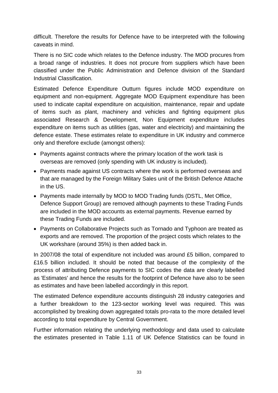difficult. Therefore the results for Defence have to be interpreted with the following caveats in mind.

There is no SIC code which relates to the Defence industry. The MOD procures from a broad range of industries. It does not procure from suppliers which have been classified under the Public Administration and Defence division of the Standard Industrial Classification.

Estimated Defence Expenditure Outturn figures include MOD expenditure on equipment and non-equipment. Aggregate MOD Equipment expenditure has been used to indicate capital expenditure on acquisition, maintenance, repair and update of items such as plant, machinery and vehicles and fighting equipment plus associated Research & Development, Non Equipment expenditure includes expenditure on items such as utilities (gas, water and electricity) and maintaining the defence estate. These estimates relate to expenditure in UK industry and commerce only and therefore exclude (amongst others):

- Payments against contracts where the primary location of the work task is overseas are removed (only spending with UK industry is included).
- Payments made against US contracts where the work is performed overseas and that are managed by the Foreign Military Sales unit of the British Defence Attache in the US.
- Payments made internally by MOD to MOD Trading funds (DSTL, Met Office, Defence Support Group) are removed although payments to these Trading Funds are included in the MOD accounts as external payments. Revenue earned by these Trading Funds are included.
- Payments on Collaborative Projects such as Tornado and Typhoon are treated as exports and are removed. The proportion of the project costs which relates to the UK workshare (around 35%) is then added back in.

In 2007/08 the total of expenditure not included was around £5 billion, compared to £16.5 billion included. It should be noted that because of the complexity of the process of attributing Defence payments to SIC codes the data are clearly labelled as 'Estimates' and hence the results for the footprint of Defence have also to be seen as estimates and have been labelled accordingly in this report.

The estimated Defence expenditure accounts distinguish 28 industry categories and a further breakdown to the 123-sector working level was required. This was accomplished by breaking down aggregated totals pro-rata to the more detailed level according to total expenditure by Central Government.

Further information relating the underlying methodology and data used to calculate the estimates presented in Table 1.11 of UK Defence Statistics can be found in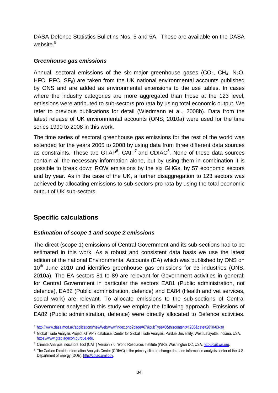DASA Defence Statistics Bulletins Nos. 5 and 5A. These are available on the DASA website.<sup>5</sup>

### *Greenhouse gas emissions*

Annual, sectoral emissions of the six major greenhouse gases  $(CO<sub>2</sub>, CH<sub>4</sub>, N<sub>2</sub>O,$ HFC, PFC,  $SF<sub>6</sub>$ ) are taken from the UK national environmental accounts published by ONS and are added as environmental extensions to the use tables. In cases where the industry categories are more aggregated than those at the 123 level, emissions were attributed to sub-sectors pro rata by using total economic output. We refer to previous publications for detail (Wiedmann et al., 2008b). Data from the latest release of UK environmental accounts (ONS, 2010a) were used for the time series 1990 to 2008 in this work.

The time series of sectoral greenhouse gas emissions for the rest of the world was extended for the years 2005 to 2008 by using data from three different data sources as constraints. These are GTAP<sup>6</sup>, CAIT<sup>7</sup> and CDIAC<sup>8</sup>. None of these data sources contain all the necessary information alone, but by using them in combination it is possible to break down ROW emissions by the six GHGs, by 57 economic sectors and by year. As in the case of the UK, a further disaggregation to 123 sectors was achieved by allocating emissions to sub-sectors pro rata by using the total economic output of UK sub-sectors.

## **Specific calculations**

### *Estimation of scope 1 and scope 2 emissions*

The direct (scope 1) emissions of Central Government and its sub-sections had to be estimated in this work. As a robust and consistent data basis we use the latest edition of the national Environmental Accounts (EA) which was published by ONS on  $10<sup>th</sup>$  June 2010 and identifies greenhouse gas emissions for 93 industries (ONS, 2010a). The EA sectors 81 to 89 are relevant for Government activities in general; for Central Government in particular the sectors EA81 (Public administration, not defence), EA82 (Public administration, defence) and EA84 (Health and vet services, social work) are relevant. To allocate emissions to the sub-sections of Central Government analysed in this study we employ the following approach. Emissions of EA82 (Public administration, defence) were directly allocated to Defence activities.

<sup>5</sup> http://www.dasa.mod.uk/applications/newWeb/www/index.php?page=67&pubType=0&thiscontent=1200&date=2010-03-30

<sup>6</sup> Global Trade Analysis Project, GTAP 7 database, Center for Global Trade Analysis, Purdue University, West Lafayette, Indiana, USA. https://www.gtap.agecon.purdue.edu.

<sup>7</sup> Climate Analysis Indicators Tool (CAIT) Version 7.0, World Resources Institute (WRI), Washington DC, USA. http://cait.wri.org.

<sup>8</sup> The Carbon Dioxide Information Analysis Center (CDIAC) is the primary climate-change data and information analysis center of the U.S. Department of Energy (DOE). http://cdiac.ornl.gov.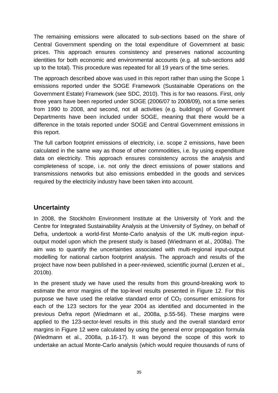The remaining emissions were allocated to sub-sections based on the share of Central Government spending on the total expenditure of Government at basic prices. This approach ensures consistency and preserves national accounting identities for both economic and environmental accounts (e.g. all sub-sections add up to the total). This procedure was repeated for all 19 years of the time series.

The approach described above was used in this report rather than using the Scope 1 emissions reported under the SOGE Framework (Sustainable Operations on the Government Estate) Framework (see SDC, 2010). This is for two reasons. First, only three years have been reported under SOGE (2006/07 to 2008/09), not a time series from 1990 to 2008, and second, not all activities (e.g. buildings) of Government Departments have been included under SOGE, meaning that there would be a difference in the totals reported under SOGE and Central Government emissions in this report.

The full carbon footprint emissions of electricity, i.e. scope 2 emissions, have been calculated in the same way as those of other commodities, i.e. by using expenditure data on electricity. This approach ensures consistency across the analysis and completeness of scope, i.e. not only the direct emissions of power stations and transmissions networks but also emissions embedded in the goods and services required by the electricity industry have been taken into account.

## **Uncertainty**

In 2008, the Stockholm Environment Institute at the University of York and the Centre for Integrated Sustainability Analysis at the University of Sydney, on behalf of Defra, undertook a world-first Monte-Carlo analysis of the UK multi-region inputoutput model upon which the present study is based (Wiedmann et al., 2008a). The aim was to quantify the uncertainties associated with multi-regional input-output modelling for national carbon footprint analysis. The approach and results of the project have now been published in a peer-reviewed, scientific journal (Lenzen et al., 2010b).

In the present study we have used the results from this ground-breaking work to estimate the error margins of the top-level results presented in Figure 12. For this purpose we have used the relative standard error of  $CO<sub>2</sub>$  consumer emissions for each of the 123 sectors for the year 2004 as identified and documented in the previous Defra report (Wiedmann et al., 2008a, p.55-56). These margins were applied to the 123-sector-level results in this study and the overall standard error margins in Figure 12 were calculated by using the general error propagation formula (Wiedmann et al., 2008a, p.16-17). It was beyond the scope of this work to undertake an actual Monte-Carlo analysis (which would require thousands of runs of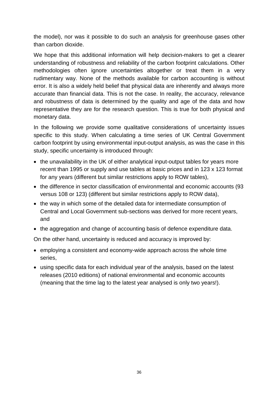the model), nor was it possible to do such an analysis for greenhouse gases other than carbon dioxide.

We hope that this additional information will help decision-makers to get a clearer understanding of robustness and reliability of the carbon footprint calculations. Other methodologies often ignore uncertainties altogether or treat them in a very rudimentary way. None of the methods available for carbon accounting is without error. It is also a widely held belief that physical data are inherently and always more accurate than financial data. This is not the case. In reality, the accuracy, relevance and robustness of data is determined by the quality and age of the data and how representative they are for the research question. This is true for both physical and monetary data.

In the following we provide some qualitative considerations of uncertainty issues specific to this study. When calculating a time series of UK Central Government carbon footprint by using environmental input-output analysis, as was the case in this study, specific uncertainty is introduced through:

- the unavailability in the UK of either analytical input-output tables for years more recent than 1995 or supply and use tables at basic prices and in 123 x 123 format for any years (different but similar restrictions apply to ROW tables),
- the difference in sector classification of environmental and economic accounts (93 versus 108 or 123) (different but similar restrictions apply to ROW data),
- the way in which some of the detailed data for intermediate consumption of Central and Local Government sub-sections was derived for more recent years, and
- the aggregation and change of accounting basis of defence expenditure data.

On the other hand, uncertainty is reduced and accuracy is improved by:

- employing a consistent and economy-wide approach across the whole time series,
- using specific data for each individual year of the analysis, based on the latest releases (2010 editions) of national environmental and economic accounts (meaning that the time lag to the latest year analysed is only two years!).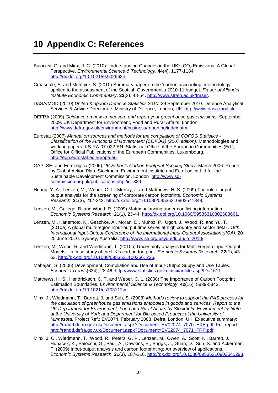## **10 Appendix C: References**

- Baiocchi, G. and Minx, J. C. (2010) Understanding Changes in the UK's  $CO<sub>2</sub>$  Emissions: A Global Perspective. *Environmental Science & Technology*, **44**(4), 1177-1184. http://dx.doi.org/10.1021/es902662h.
- Croasdale, S. and McIntyre, S. (2010) Summary paper on the 'carbon accounting' methodology applied to the assessment of the Scottish Government's 2010-11 budget. *Fraser of Allander Institute Economic Commentary*, **33**(3), 48-54. http://www.strath.ac.uk/fraser.
- DASA/MOD (2010) *United Kingdom Defence Statistics 2010*. 29 September 2010. Defence Analytical Services & Advice Directorate, Ministry of Defence, London, UK. http://www.dasa.mod.uk.
- DEFRA (2009) *Guidance on how to measure and report your greenhouse gas emissions*. September 2009. UK Department for Environment, Food and Rural Affairs, London. http://www.defra.gov.uk/environment/business/reporting/index.htm.
- Eurostat (2007) *Manual on sources and methods for the compilation of COFOG Statistics - Classification of the Functions of Government (COFOG) (2007 edition)*. Methodologies and working papers. KS-RA-07-022-EN. Statistical Office of the European Communities (Ed.), Office for Official Publications of the European Communities, Luxembourg. http://epp.eurostat.ec.europa.eu.
- GAP, SEI and Eco-Logica (2006) *UK Schools Carbon Footprint Scoping Study*. March 2006. Report by Global Action Plan, Stockholm Environment Institute and Eco-Logica Ltd for the Sustainable Development Commission, London http://www.sdcommission.org.uk/publications.php?id=389
- Huang, Y. A., Lenzen, M., Weber, C. L., Murray, J. and Matthews, H. S. (2009) The role of inputoutput analysis for the screening of corporate carbon footprints. *Economic Systems Research*, **21**(3), 217-242. http://dx.doi.org/10.1080/09535310903541348.
- Lenzen, M., Gallego, B. and Wood, R. (2009) Matrix balancing under conflicting information. *Economic Systems Research*, **21**(1), 23-44. http://dx.doi.org/10.1080/09535310802688661.
- Lenzen, M., Kanemoto, K., Geschke, A., Moran, D., Muñoz, P., Ugon, J., Wood, R. and Yu, T. (2010a) A global multi-region input-output time series at high country and sector detail. *18th International Input-Output Conference of the International Input-Output Association (IIOA)*, 20- 25 June 2010. Sydney, Australia. http://www.isa.org.usyd.edu.au/io\_2010/.
- Lenzen, M., Wood, R. and Wiedmann, T. (2010b) Uncertainty analysis for Multi-Region Input-Output Models – a case study of the UK's carbon footprint. *Economic Systems Research*, **22**(1), 43– 63. http://dx.doi.org/10.1080/09535311003661226.
- Mahajan, S. (2006) Development, Compilation and Use of Input-Output Suppy and Use Tables. *Economic Trends*(634), 28-46. http://www.statistics.gov.uk/cci/article.asp?ID=1611.
- Matthews, H. S., Hendrickson, C. T. and Weber, C. L. (2008) The Importance of Carbon Footprint Estimation Boundaries. *Environmental Science & Technology*, **42**(16), 5839-5842. http://dx.doi.org/10.1021/es703112w.
- Minx, J., Wiedmann, T., Barrett, J. and Suh, S. (2008) *Methods review to support the PAS process for the calculation of greenhouse gas emissions embodied in goods and services. Report to the UK Department for Environment, Food and Rural Affairs by Stockholm Environment Institute at the University of York and Department for Bio-based Products at the University of Minnesota.* Project Ref.: EV2074, February 2008. Defra, London, UK. Executive summary: http://randd.defra.gov.uk/Document.aspx?Document=EV02074\_7070\_EXE.pdf. Full report: http://randd.defra.gov.uk/Document.aspx?Document=EV02074\_7071\_FRP.pdf.
- Minx, J. C., Wiedmann, T., Wood, R., Peters, G. P., Lenzen, M., Owen, A., Scott, K., Barrett, J., Hubacek, K., Baiocchi, G., Paul, A., Dawkins, E., Briggs, J., Guan, D., Suh, S. and Ackerman, F. (2009) Input-output analysis and carbon footprinting: An overview of applications. *Economic Systems Research*, **21**(3), 187-216. http://dx.doi.org/10.1080/09535310903541298.